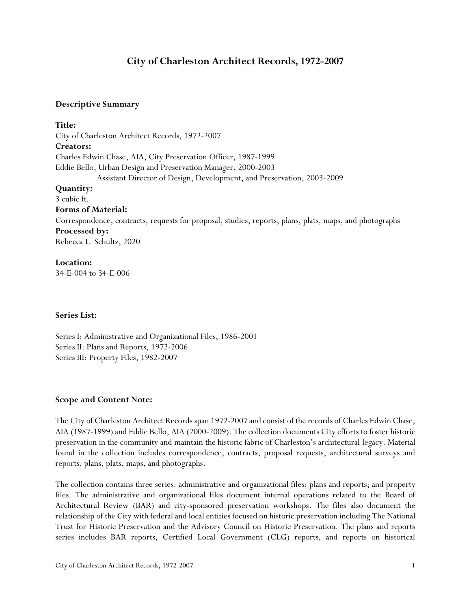# **City of Charleston Architect Records, 1972-2007**

### **Descriptive Summary**

**Title:** City of Charleston Architect Records, 1972-2007 **Creators:** Charles Edwin Chase, AIA, City Preservation Officer, 1987-1999 Eddie Bello, Urban Design and Preservation Manager, 2000-2003 Assistant Director of Design, Development, and Preservation, 2003-2009 **Quantity:** 3 cubic ft. **Forms of Material:** Correspondence, contracts, requests for proposal, studies, reports, plans, plats, maps, and photographs **Processed by:** Rebecca L. Schultz, 2020 **Location:**

34-E-004 to 34-E-006

#### **Series List:**

Series I: Administrative and Organizational Files, 1986-2001 Series II: Plans and Reports, 1972-2006 Series III: Property Files, 1982-2007

### **Scope and Content Note:**

The City of Charleston Architect Records span 1972-2007 and consist of the records of Charles Edwin Chase, AIA (1987-1999) and Eddie Bello, AIA (2000-2009). The collection documents City efforts to foster historic preservation in the community and maintain the historic fabric of Charleston's architectural legacy. Material found in the collection includes correspondence, contracts, proposal requests, architectural surveys and reports, plans, plats, maps, and photographs.

The collection contains three series: administrative and organizational files; plans and reports; and property files. The administrative and organizational files document internal operations related to the Board of Architectural Review (BAR) and city-sponsored preservation workshops. The files also document the relationship of the City with federal and local entities focused on historic preservation including The National Trust for Historic Preservation and the Advisory Council on Historic Preservation. The plans and reports series includes BAR reports, Certified Local Government (CLG) reports, and reports on historical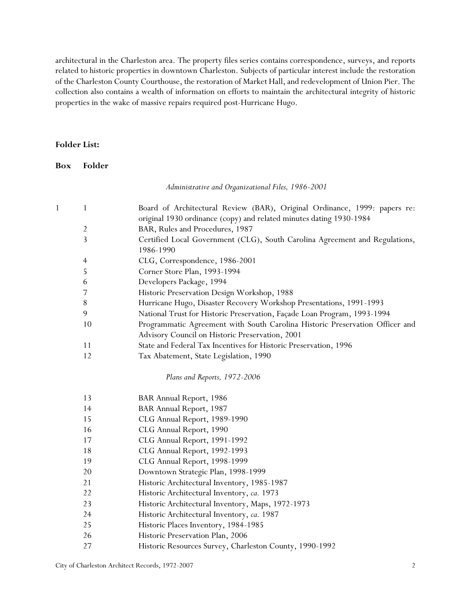architectural in the Charleston area. The property files series contains correspondence, surveys, and reports related to historic properties in downtown Charleston. Subjects of particular interest include the restoration of the Charleston County Courthouse, the restoration of Market Hall, and redevelopment of Union Pier. The collection also contains a wealth of information on efforts to maintain the architectural integrity of historic properties in the wake of massive repairs required post-Hurricane Hugo.

#### **Folder List:**

**Box Folder**

*Administrative and Organizational Files, 1986-2001*

| $\mathbf{1}$ | 1              | Board of Architectural Review (BAR), Original Ordinance, 1999: papers re:    |
|--------------|----------------|------------------------------------------------------------------------------|
|              |                | original 1930 ordinance (copy) and related minutes dating 1930-1984          |
|              | $\overline{2}$ | BAR, Rules and Procedures, 1987                                              |
|              | $\overline{3}$ | Certified Local Government (CLG), South Carolina Agreement and Regulations,  |
|              |                | 1986-1990                                                                    |
|              | $\overline{4}$ | CLG, Correspondence, 1986-2001                                               |
|              | 5              | Corner Store Plan, 1993-1994                                                 |
|              | 6              | Developers Package, 1994                                                     |
|              | 7              | Historic Preservation Design Workshop, 1988                                  |
|              | $8\,$          | Hurricane Hugo, Disaster Recovery Workshop Presentations, 1991-1993          |
|              | 9              | National Trust for Historic Preservation, Façade Loan Program, 1993-1994     |
|              | 10             | Programmatic Agreement with South Carolina Historic Preservation Officer and |
|              |                | Advisory Council on Historic Preservation, 2001                              |
|              | 11             | State and Federal Tax Incentives for Historic Preservation, 1996             |
|              | 12             | Tax Abatement, State Legislation, 1990                                       |
|              |                | Plans and Reports, 1972-2006                                                 |
|              | 13             | BAR Annual Report, 1986                                                      |
|              | 14             | BAR Annual Report, 1987                                                      |
|              | 15             | CLG Annual Report, 1989-1990                                                 |
|              | 16             | CLG Annual Report, 1990                                                      |
|              | 17             | CLG Annual Report, 1991-1992                                                 |
|              | 18             | CLG Annual Report, 1992-1993                                                 |
|              | 19             | CLG Annual Report, 1998-1999                                                 |
|              | 20             | Downtown Strategic Plan, 1998-1999                                           |
|              | 21             | Historic Architectural Inventory, 1985-1987                                  |
|              | 22             | Historic Architectural Inventory, ca. 1973                                   |

Historic Architectural Inventory, Maps, 1972-1973

- Historic Architectural Inventory, *ca.* 1987
- Historic Places Inventory, 1984-1985
- Historic Preservation Plan, 2006
- Historic Resources Survey, Charleston County, 1990-1992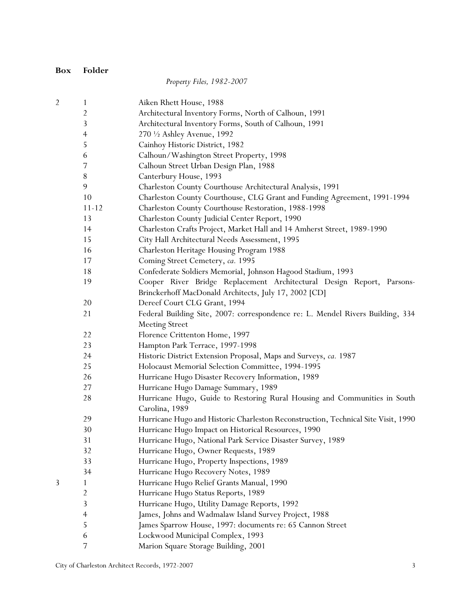**Box Folder**

## *Property Files, 1982-2007*

|   | $\overline{\mathbf{c}}$ | Aiken Rhett House, 1988                                                           |
|---|-------------------------|-----------------------------------------------------------------------------------|
|   |                         | Architectural Inventory Forms, North of Calhoun, 1991                             |
|   | 3                       | Architectural Inventory Forms, South of Calhoun, 1991                             |
|   | $\overline{4}$          | 270 1/2 Ashley Avenue, 1992                                                       |
|   | 5                       | Cainhoy Historic District, 1982                                                   |
|   | 6                       | Calhoun/Washington Street Property, 1998                                          |
|   | 7                       | Calhoun Street Urban Design Plan, 1988                                            |
|   | $8\,$                   | Canterbury House, 1993                                                            |
|   | 9                       | Charleston County Courthouse Architectural Analysis, 1991                         |
|   | 10                      | Charleston County Courthouse, CLG Grant and Funding Agreement, 1991-1994          |
|   | $11 - 12$               | Charleston County Courthouse Restoration, 1988-1998                               |
|   | 13                      | Charleston County Judicial Center Report, 1990                                    |
|   | 14                      | Charleston Crafts Project, Market Hall and 14 Amherst Street, 1989-1990           |
|   | 15                      | City Hall Architectural Needs Assessment, 1995                                    |
|   | 16                      | Charleston Heritage Housing Program 1988                                          |
|   | 17                      | Coming Street Cemetery, ca. 1995                                                  |
|   | 18                      | Confederate Soldiers Memorial, Johnson Hagood Stadium, 1993                       |
|   | 19                      | Cooper River Bridge Replacement Architectural Design Report, Parsons-             |
|   |                         | Brinckerhoff MacDonald Architects, July 17, 2002 [CD]                             |
|   | 20                      | Dereef Court CLG Grant, 1994                                                      |
|   | 21                      | Federal Building Site, 2007: correspondence re: L. Mendel Rivers Building, 334    |
|   |                         | <b>Meeting Street</b>                                                             |
|   | 22                      | Florence Crittenton Home, 1997                                                    |
|   | 23                      | Hampton Park Terrace, 1997-1998                                                   |
|   | 24                      | Historic District Extension Proposal, Maps and Surveys, ca. 1987                  |
|   | 25                      | Holocaust Memorial Selection Committee, 1994-1995                                 |
|   | 26                      | Hurricane Hugo Disaster Recovery Information, 1989                                |
|   | 27                      | Hurricane Hugo Damage Summary, 1989                                               |
|   | 28                      | Hurricane Hugo, Guide to Restoring Rural Housing and Communities in South         |
|   |                         | Carolina, 1989                                                                    |
|   | 29                      | Hurricane Hugo and Historic Charleston Reconstruction, Technical Site Visit, 1990 |
|   | 30                      | Hurricane Hugo Impact on Historical Resources, 1990                               |
|   | 31                      | Hurricane Hugo, National Park Service Disaster Survey, 1989                       |
|   | 32                      | Hurricane Hugo, Owner Requests, 1989                                              |
|   | 33                      | Hurricane Hugo, Property Inspections, 1989                                        |
|   | 34                      | Hurricane Hugo Recovery Notes, 1989                                               |
| 3 | 1                       | Hurricane Hugo Relief Grants Manual, 1990                                         |
|   | $\overline{c}$          | Hurricane Hugo Status Reports, 1989                                               |
|   | 3                       | Hurricane Hugo, Utility Damage Reports, 1992                                      |
|   | $\overline{4}$          | James, Johns and Wadmalaw Island Survey Project, 1988                             |
|   | 5                       | James Sparrow House, 1997: documents re: 65 Cannon Street                         |
|   | 6                       | Lockwood Municipal Complex, 1993                                                  |
|   | 7                       | Marion Square Storage Building, 2001                                              |